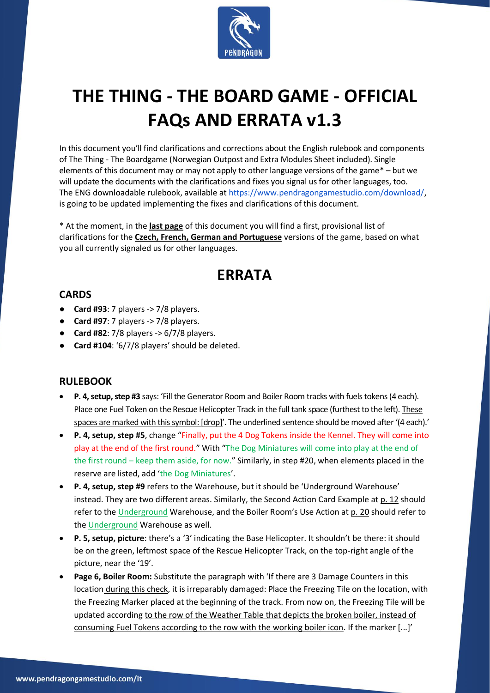

# **THE THING - THE BOARD GAME - OFFICIAL FAQs AND ERRATA v1.3**

In this document you'll find clarifications and corrections about the English rulebook and components of The Thing - The Boardgame (Norwegian Outpost and Extra Modules Sheet included). Single elements of this document may or may not apply to other language versions of the game\* – but we will update the documents with the clarifications and fixes you signal us for other languages, too. The ENG downloadable rulebook, available at [https://www.pendragongamestudio.com/download/,](https://www.pendragongamestudio.com/download/) is going to be updated implementing the fixes and clarifications of this document.

\* At the moment, in the **last page** of this document you will find a first, provisional list of clarifications for the **Czech, French, German and Portuguese** versions of the game, based on what you all currently signaled us for other languages.

# **ERRATA**

#### **CARDS**

- **Card #93**: 7 players -> 7/8 players.
- **Card #97**: 7 players -> 7/8 players.
- **Card #82**: 7/8 players -> 6/7/8 players.
- **Card #104**: '6/7/8 players' should be deleted.

#### **RULEBOOK**

- **P. 4, setup, step #3** says: 'Fill the Generator Room and Boiler Room tracks with fuels tokens (4 each). Place one Fuel Token on the Rescue Helicopter Track in the full tank space (furthest to the left). These spaces are marked with this symbol: [drop]'. The underlined sentence should be moved after '(4 each).'
- **P. 4, setup, step #5**, change "Finally, put the 4 Dog Tokens inside the Kennel. They will come into play at the end of the first round." With "The Dog Miniatures will come into play at the end of the first round – keep them aside, for now." Similarly, in step #20, when elements placed in the reserve are listed, add 'the Dog Miniatures'.
- **P. 4, setup, step #9** refers to the Warehouse, but it should be 'Underground Warehouse' instead. They are two different areas. Similarly, the Second Action Card Example at p. 12 should refer to the Underground Warehouse, and the Boiler Room's Use Action at p. 20 should refer to the Underground Warehouse as well.
- **P. 5, setup, picture**: there's a '3' indicating the Base Helicopter. It shouldn't be there: it should be on the green, leftmost space of the Rescue Helicopter Track, on the top-right angle of the picture, near the '19'.
- **Page 6, Boiler Room:** Substitute the paragraph with 'If there are 3 Damage Counters in this location during this check, it is irreparably damaged: Place the Freezing Tile on the location, with the Freezing Marker placed at the beginning of the track. From now on, the Freezing Tile will be updated according to the row of the Weather Table that depicts the broken boiler, instead of consuming Fuel Tokens according to the row with the working boiler icon. If the marker [...]'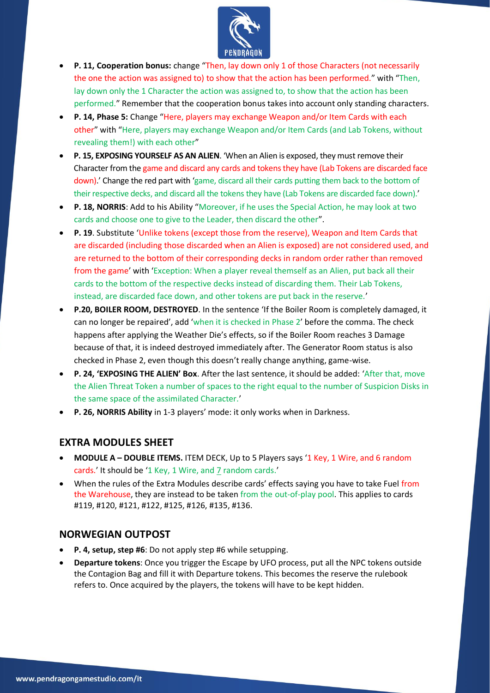

- **P. 11, Cooperation bonus:** change "Then, lay down only 1 of those Characters (not necessarily the one the action was assigned to) to show that the action has been performed." with "Then, lay down only the 1 Character the action was assigned to, to show that the action has been performed." Remember that the cooperation bonus takes into account only standing characters.
- **P. 14, Phase 5:** Change "Here, players may exchange Weapon and/or Item Cards with each other" with "Here, players may exchange Weapon and/or Item Cards (and Lab Tokens, without revealing them!) with each other"
- **P. 15, EXPOSING YOURSELF AS AN ALIEN**. 'When an Alien is exposed, they must remove their Character from the game and discard any cards and tokens they have (Lab Tokens are discarded face down).' Change the red part with 'game, discard all their cards putting them back to the bottom of their respective decks, and discard all the tokens they have (Lab Tokens are discarded face down).'
- **P. 18, NORRIS**: Add to his Ability "Moreover, if he uses the Special Action, he may look at two cards and choose one to give to the Leader, then discard the other".
- **P. 19**. Substitute 'Unlike tokens (except those from the reserve), Weapon and Item Cards that are discarded (including those discarded when an Alien is exposed) are not considered used, and are returned to the bottom of their corresponding decks in random order rather than removed from the game' with 'Exception: When a player reveal themself as an Alien, put back all their cards to the bottom of the respective decks instead of discarding them. Their Lab Tokens, instead, are discarded face down, and other tokens are put back in the reserve.'
- **P.20, BOILER ROOM, DESTROYED**. In the sentence 'If the Boiler Room is completely damaged, it can no longer be repaired', add 'when it is checked in Phase 2' before the comma. The check happens after applying the Weather Die's effects, so if the Boiler Room reaches 3 Damage because of that, it is indeed destroyed immediately after. The Generator Room status is also checked in Phase 2, even though this doesn't really change anything, game-wise.
- **P. 24, 'EXPOSING THE ALIEN' Box**. After the last sentence, it should be added: 'After that, move the Alien Threat Token a number of spaces to the right equal to the number of Suspicion Disks in the same space of the assimilated Character.'
- **P. 26, NORRIS Ability** in 1-3 players' mode: it only works when in Darkness.

#### **EXTRA MODULES SHEET**

- **MODULE A – DOUBLE ITEMS.** ITEM DECK, Up to 5 Players says '1 Key, 1 Wire, and 6 random cards.' It should be '1 Key, 1 Wire, and 7 random cards.'
- When the rules of the Extra Modules describe cards' effects saying you have to take Fuel from the Warehouse, they are instead to be taken from the out-of-play pool. This applies to cards #119, #120, #121, #122, #125, #126, #135, #136.

#### **NORWEGIAN OUTPOST**

- **P. 4, setup, step #6**: Do not apply step #6 while setupping.
- **Departure tokens**: Once you trigger the Escape by UFO process, put all the NPC tokens outside the Contagion Bag and fill it with Departure tokens. This becomes the reserve the rulebook refers to. Once acquired by the players, the tokens will have to be kept hidden.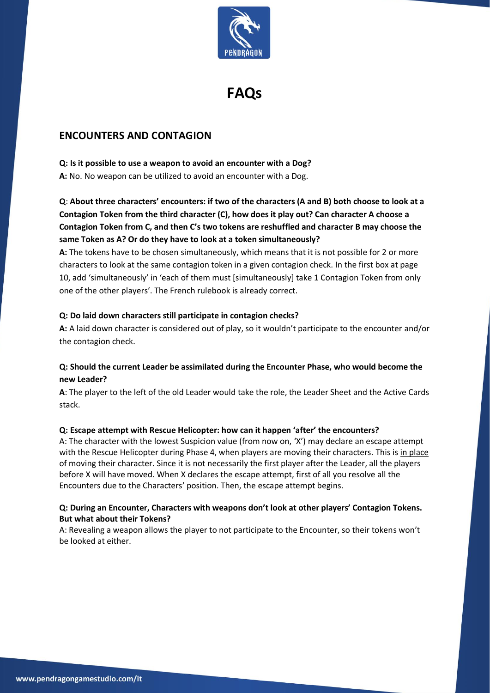

**FAQs**

#### **ENCOUNTERS AND CONTAGION**

#### **Q: Is it possible to use a weapon to avoid an encounter with a Dog?**

**A:** No. No weapon can be utilized to avoid an encounter with a Dog.

**Q**: **About three characters' encounters: if two of the characters (A and B) both choose to look at a Contagion Token from the third character (C), how does it play out? Can character A choose a Contagion Token from C, and then C's two tokens are reshuffled and character B may choose the same Token as A? Or do they have to look at a token simultaneously?**

**A:** The tokens have to be chosen simultaneously, which means that it is not possible for 2 or more characters to look at the same contagion token in a given contagion check. In the first box at page 10, add 'simultaneously' in 'each of them must [simultaneously] take 1 Contagion Token from only one of the other players'. The French rulebook is already correct.

#### **Q: Do laid down characters still participate in contagion checks?**

**A:** A laid down character is considered out of play, so it wouldn't participate to the encounter and/or the contagion check.

#### **Q: Should the current Leader be assimilated during the Encounter Phase, who would become the new Leader?**

**A**: The player to the left of the old Leader would take the role, the Leader Sheet and the Active Cards stack.

#### **Q: Escape attempt with Rescue Helicopter: how can it happen 'after' the encounters?**

A: The character with the lowest Suspicion value (from now on, 'X') may declare an escape attempt with the Rescue Helicopter during Phase 4, when players are moving their characters. This is in place of moving their character. Since it is not necessarily the first player after the Leader, all the players before X will have moved. When X declares the escape attempt, first of all you resolve all the Encounters due to the Characters' position. Then, the escape attempt begins.

#### **Q: During an Encounter, Characters with weapons don't look at other players' Contagion Tokens. But what about their Tokens?**

A: Revealing a weapon allows the player to not participate to the Encounter, so their tokens won't be looked at either.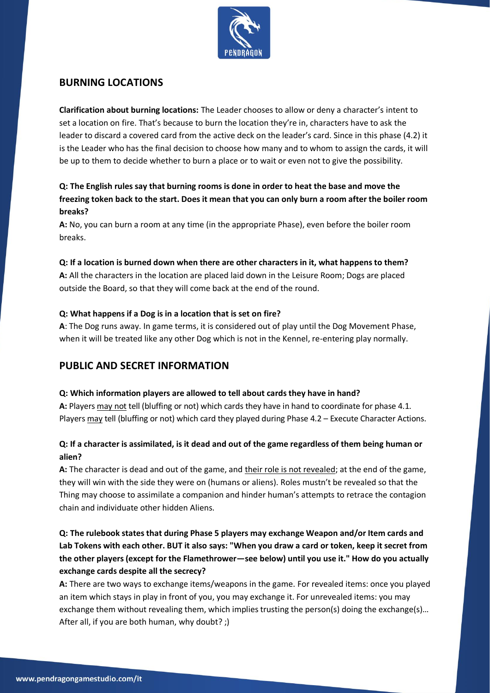

#### **BURNING LOCATIONS**

**Clarification about burning locations:** The Leader chooses to allow or deny a character's intent to set a location on fire. That's because to burn the location they're in, characters have to ask the leader to discard a covered card from the active deck on the leader's card. Since in this phase (4.2) it is the Leader who has the final decision to choose how many and to whom to assign the cards, it will be up to them to decide whether to burn a place or to wait or even not to give the possibility.

#### **Q: The English rules say that burning rooms is done in order to heat the base and move the freezing token back to the start. Does it mean that you can only burn a room after the boiler room breaks?**

**A:** No, you can burn a room at any time (in the appropriate Phase), even before the boiler room breaks.

#### **Q: If a location is burned down when there are other characters in it, what happens to them?**

**A:** All the characters in the location are placed laid down in the Leisure Room; Dogs are placed outside the Board, so that they will come back at the end of the round.

#### **Q: What happens if a Dog is in a location that is set on fire?**

**A**: The Dog runs away. In game terms, it is considered out of play until the Dog Movement Phase, when it will be treated like any other Dog which is not in the Kennel, re-entering play normally.

#### **PUBLIC AND SECRET INFORMATION**

#### **Q: Which information players are allowed to tell about cards they have in hand?**

**A:** Players may not tell (bluffing or not) which cards they have in hand to coordinate for phase 4.1. Players may tell (bluffing or not) which card they played during Phase 4.2 – Execute Character Actions.

#### **Q: If a character is assimilated, is it dead and out of the game regardless of them being human or alien?**

A: The character is dead and out of the game, and their role is not revealed; at the end of the game, they will win with the side they were on (humans or aliens). Roles mustn't be revealed so that the Thing may choose to assimilate a companion and hinder human's attempts to retrace the contagion chain and individuate other hidden Aliens.

#### **Q: The rulebook states that during Phase 5 players may exchange Weapon and/or Item cards and Lab Tokens with each other. BUT it also says: "When you draw a card or token, keep it secret from the other players (except for the Flamethrower—see below) until you use it." How do you actually exchange cards despite all the secrecy?**

**A:** There are two ways to exchange items/weapons in the game. For revealed items: once you played an item which stays in play in front of you, you may exchange it. For unrevealed items: you may exchange them without revealing them, which implies trusting the person(s) doing the exchange(s)... After all, if you are both human, why doubt? ;)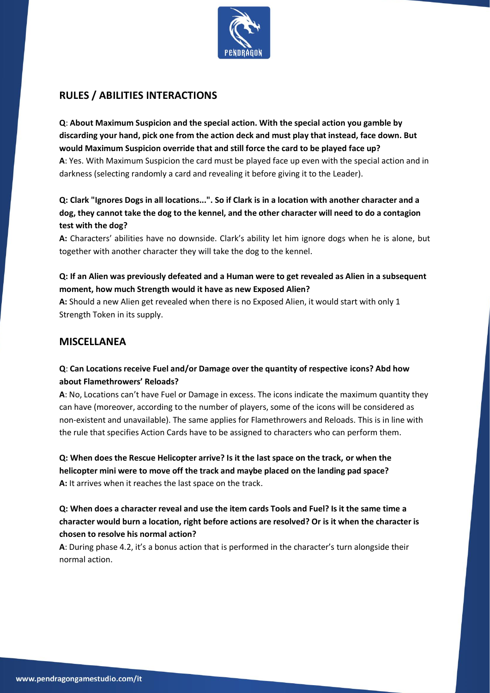

### **RULES / ABILITIES INTERACTIONS**

**Q**: **About Maximum Suspicion and the special action. With the special action you gamble by discarding your hand, pick one from the action deck and must play that instead, face down. But would Maximum Suspicion override that and still force the card to be played face up? A**: Yes. With Maximum Suspicion the card must be played face up even with the special action and in darkness (selecting randomly a card and revealing it before giving it to the Leader).

**Q: Clark "Ignores Dogs in all locations...". So if Clark is in a location with another character and a dog, they cannot take the dog to the kennel, and the other character will need to do a contagion test with the dog?**

**A:** Characters' abilities have no downside. Clark's ability let him ignore dogs when he is alone, but together with another character they will take the dog to the kennel.

**Q: If an Alien was previously defeated and a Human were to get revealed as Alien in a subsequent moment, how much Strength would it have as new Exposed Alien?**

**A:** Should a new Alien get revealed when there is no Exposed Alien, it would start with only 1 Strength Token in its supply.

#### **MISCELLANEA**

#### **Q**: **Can Locations receive Fuel and/or Damage over the quantity of respective icons? Abd how about Flamethrowers' Reloads?**

**A**: No, Locations can't have Fuel or Damage in excess. The icons indicate the maximum quantity they can have (moreover, according to the number of players, some of the icons will be considered as non-existent and unavailable). The same applies for Flamethrowers and Reloads. This is in line with the rule that specifies Action Cards have to be assigned to characters who can perform them.

**Q: When does the Rescue Helicopter arrive? Is it the last space on the track, or when the helicopter mini were to move off the track and maybe placed on the landing pad space? A:** It arrives when it reaches the last space on the track.

**Q: When does a character reveal and use the item cards Tools and Fuel? Is it the same time a character would burn a location, right before actions are resolved? Or is it when the character is chosen to resolve his normal action?**

**A**: During phase 4.2, it's a bonus action that is performed in the character's turn alongside their normal action.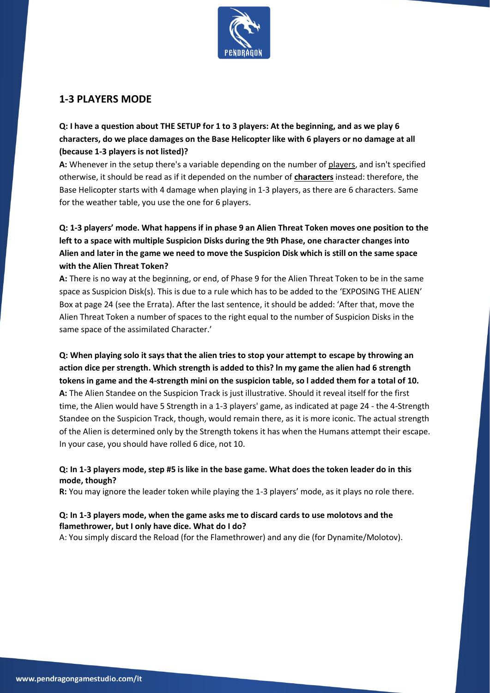

#### **1-3 PLAYERS MODE**

**Q: I have a question about THE SETUP for 1 to 3 players: At the beginning, and as we play 6 characters, do we place damages on the Base Helicopter like with 6 players or no damage at all (because 1-3 players is not listed)?**

**A:** Whenever in the setup there's a variable depending on the number of players, and isn't specified otherwise, it should be read as if it depended on the number of **characters** instead: therefore, the Base Helicopter starts with 4 damage when playing in 1-3 players, as there are 6 characters. Same for the weather table, you use the one for 6 players.

**Q: 1-3 players' mode. What happens if in phase 9 an Alien Threat Token moves one position to the left to a space with multiple Suspicion Disks during the 9th Phase, one character changes into Alien and later in the game we need to move the Suspicion Disk which is still on the same space with the Alien Threat Token?**

**A:** There is no way at the beginning, or end, of Phase 9 for the Alien Threat Token to be in the same space as Suspicion Disk(s). This is due to a rule which has to be added to the 'EXPOSING THE ALIEN' Box at page 24 (see the Errata). After the last sentence, it should be added: 'After that, move the Alien Threat Token a number of spaces to the right equal to the number of Suspicion Disks in the same space of the assimilated Character.'

**Q: When playing solo it says that the alien tries to stop your attempt to escape by throwing an action dice per strength. Which strength is added to this? ln my game the alien had 6 strength tokens in game and the 4-strength mini on the suspicion table, so l added them for a total of 10. A:** The Alien Standee on the Suspicion Track is just illustrative. Should it reveal itself for the first time, the Alien would have 5 Strength in a 1-3 players' game, as indicated at page 24 - the 4-Strength Standee on the Suspicion Track, though, would remain there, as it is more iconic. The actual strength of the Alien is determined only by the Strength tokens it has when the Humans attempt their escape. In your case, you should have rolled 6 dice, not 10.

#### **Q: In 1-3 players mode, step #5 is like in the base game. What does the token leader do in this mode, though?**

**R:** You may ignore the leader token while playing the 1-3 players' mode, as it plays no role there.

#### **Q: In 1-3 players mode, when the game asks me to discard cards to use molotovs and the flamethrower, but I only have dice. What do I do?**

A: You simply discard the Reload (for the Flamethrower) and any die (for Dynamite/Molotov).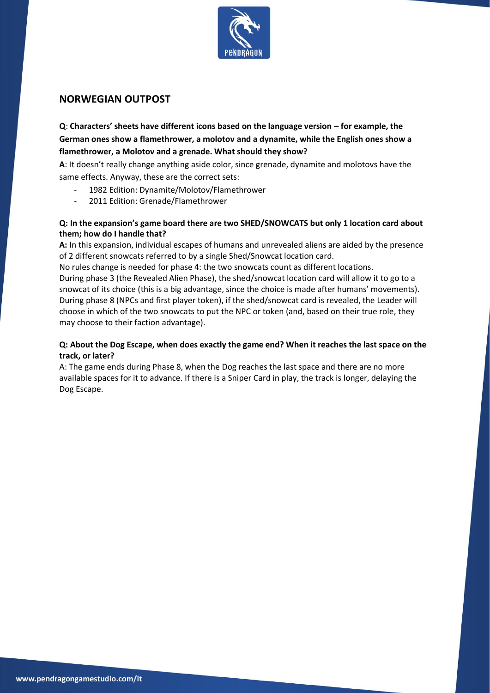

#### **NORWEGIAN OUTPOST**

**Q**: **Characters' sheets have different icons based on the language version – for example, the German ones show a flamethrower, a molotov and a dynamite, while the English ones show a flamethrower, a Molotov and a grenade. What should they show?**

**A**: It doesn't really change anything aside color, since grenade, dynamite and molotovs have the same effects. Anyway, these are the correct sets:

- 1982 Edition: Dynamite/Molotov/Flamethrower
- 2011 Edition: Grenade/Flamethrower

#### **Q: In the expansion's game board there are two SHED/SNOWCATS but only 1 location card about them; how do I handle that?**

**A:** In this expansion, individual escapes of humans and unrevealed aliens are aided by the presence of 2 different snowcats referred to by a single Shed/Snowcat location card.

No rules change is needed for phase 4: the two snowcats count as different locations.

During phase 3 (the Revealed Alien Phase), the shed/snowcat location card will allow it to go to a snowcat of its choice (this is a big advantage, since the choice is made after humans' movements). During phase 8 (NPCs and first player token), if the shed/snowcat card is revealed, the Leader will choose in which of the two snowcats to put the NPC or token (and, based on their true role, they may choose to their faction advantage).

#### **Q: About the Dog Escape, when does exactly the game end? When it reaches the last space on the track, or later?**

A: The game ends during Phase 8, when the Dog reaches the last space and there are no more available spaces for it to advance. If there is a Sniper Card in play, the track is longer, delaying the Dog Escape.